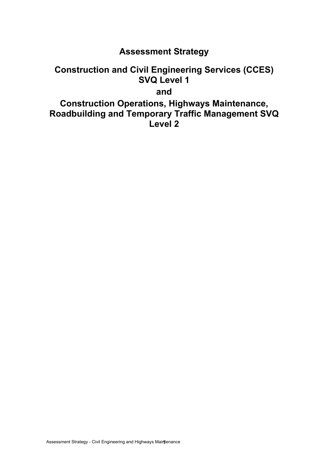## **Assessment Strategy**

# **Construction and Civil Engineering Services (CCES) SVQ Level 1**

**and** 

# **Construction Operations, Highways Maintenance, Roadbuilding and Temporary Traffic Management SVQ Level 2**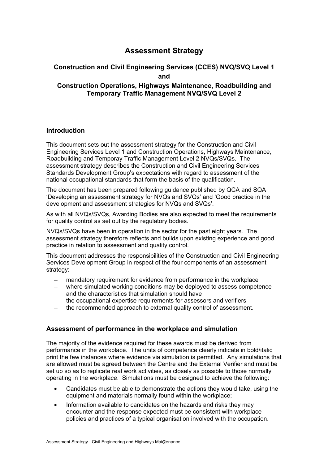### **Assessment Strategy**

## **Construction and Civil Engineering Services (CCES) NVQ/SVQ Level 1 and**

### **Construction Operations, Highways Maintenance, Roadbuilding and Temporary Traffic Management NVQ/SVQ Level 2**

#### **Introduction**

This document sets out the assessment strategy for the Construction and Civil Engineering Services Level 1 and Construction Operations, Highways Maintenance, Roadbuilding and Temporay Traffic Management Level 2 NVQs/SVQs. The assessment strategy describes the Construction and Civil Engineering Services Standards Development Group's expectations with regard to assessment of the national occupational standards that form the basis of the qualification.

The document has been prepared following guidance published by QCA and SQA 'Developing an assessment strategy for NVQs and SVQs' and 'Good practice in the development and assessment strategies for NVQs and SVQs'.

As with all NVQs/SVQs, Awarding Bodies are also expected to meet the requirements for quality control as set out by the regulatory bodies.

NVQs/SVQs have been in operation in the sector for the past eight years. The assessment strategy therefore reflects and builds upon existing experience and good practice in relation to assessment and quality control.

This document addresses the responsibilities of the Construction and Civil Engineering Services Development Group in respect of the four components of an assessment strategy:

- mandatory requirement for evidence from performance in the workplace
- where simulated working conditions may be deployed to assess competence and the characteristics that simulation should have
- the occupational expertise requirements for assessors and verifiers
- the recommended approach to external quality control of assessment.

#### **Assessment of performance in the workplace and simulation**

The majority of the evidence required for these awards must be derived from performance in the workplace. The units of competence clearly indicate in bold/italic print the few instances where evidence via simulation is permitted. Any simulations that are allowed must be agreed between the Centre and the External Verifier and must be set up so as to replicate real work activities, as closely as possible to those normally operating in the workplace. Simulations must be designed to achieve the following:

- Candidates must be able to demonstrate the actions they would take, using the equipment and materials normally found within the workplace;
- Information available to candidates on the hazards and risks they may encounter and the response expected must be consistent with workplace policies and practices of a typical organisation involved with the occupation.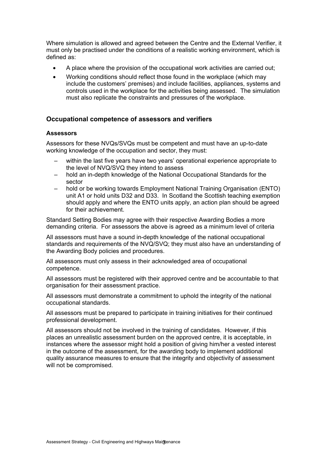Where simulation is allowed and agreed between the Centre and the External Verifier, it must only be practised under the conditions of a realistic working environment, which is defined as:

- A place where the provision of the occupational work activities are carried out;
- Working conditions should reflect those found in the workplace (which may include the customers' premises) and include facilities, appliances, systems and controls used in the workplace for the activities being assessed. The simulation must also replicate the constraints and pressures of the workplace.

#### **Occupational competence of assessors and verifiers**

#### **Assessors**

Assessors for these NVQs/SVQs must be competent and must have an up-to-date working knowledge of the occupation and sector, they must:

- within the last five years have two years' operational experience appropriate to the level of NVQ/SVQ they intend to assess
- hold an in-depth knowledge of the National Occupational Standards for the sector
- hold or be working towards Employment National Training Organisation (ENTO) unit A1 or hold units D32 and D33. In Scotland the Scottish teaching exemption should apply and where the ENTO units apply, an action plan should be agreed for their achievement.

Standard Setting Bodies may agree with their respective Awarding Bodies a more demanding criteria. For assessors the above is agreed as a minimum level of criteria

All assessors must have a sound in-depth knowledge of the national occupational standards and requirements of the NVQ/SVQ; they must also have an understanding of the Awarding Body policies and procedures.

All assessors must only assess in their acknowledged area of occupational competence.

All assessors must be registered with their approved centre and be accountable to that organisation for their assessment practice.

All assessors must demonstrate a commitment to uphold the integrity of the national occupational standards.

All assessors must be prepared to participate in training initiatives for their continued professional development.

All assessors should not be involved in the training of candidates. However, if this places an unrealistic assessment burden on the approved centre, it is acceptable, in instances where the assessor might hold a position of giving him/her a vested interest in the outcome of the assessment, for the awarding body to implement additional quality assurance measures to ensure that the integrity and objectivity of assessment will not be compromised.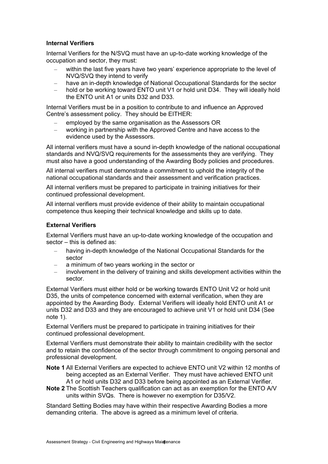#### **Internal Verifiers**

Internal Verifiers for the N/SVQ must have an up-to-date working knowledge of the occupation and sector, they must:

- within the last five years have two years' experience appropriate to the level of NVQ/SVQ they intend to verify
- have an in-depth knowledge of National Occupational Standards for the sector
- hold or be working toward ENTO unit V1 or hold unit D34. They will ideally hold the ENTO unit A1 or units D32 and D33.

Internal Verifiers must be in a position to contribute to and influence an Approved Centre's assessment policy. They should be EITHER:

- employed by the same organisation as the Assessors OR
- working in partnership with the Approved Centre and have access to the evidence used by the Assessors.

All internal verifiers must have a sound in-depth knowledge of the national occupational standards and NVQ/SVQ requirements for the assessments they are verifying. They must also have a good understanding of the Awarding Body policies and procedures.

All internal verifiers must demonstrate a commitment to uphold the integrity of the national occupational standards and their assessment and verification practices.

All internal verifiers must be prepared to participate in training initiatives for their continued professional development.

All internal verifiers must provide evidence of their ability to maintain occupational competence thus keeping their technical knowledge and skills up to date.

#### **External Verifiers**

External Verifiers must have an up-to-date working knowledge of the occupation and sector – this is defined as:

- having in-depth knowledge of the National Occupational Standards for the sector
- a minimum of two years working in the sector or
- involvement in the delivery of training and skills development activities within the sector.

External Verifiers must either hold or be working towards ENTO Unit V2 or hold unit D35, the units of competence concerned with external verification, when they are appointed by the Awarding Body. External Verifiers will ideally hold ENTO unit A1 or units D32 and D33 and they are encouraged to achieve unit V1 or hold unit D34 (See note 1).

External Verifiers must be prepared to participate in training initiatives for their continued professional development.

External Verifiers must demonstrate their ability to maintain credibility with the sector and to retain the confidence of the sector through commitment to ongoing personal and professional development.

**Note 1** All External Verifiers are expected to achieve ENTO unit V2 within 12 months of being accepted as an External Verifier. They must have achieved ENTO unit A1 or hold units D32 and D33 before being appointed as an External Verifier.

**Note 2** The Scottish Teachers qualification can act as an exemption for the ENTO A/V units within SVQs. There is however no exemption for D35/V2.

Standard Setting Bodies may have within their respective Awarding Bodies a more demanding criteria. The above is agreed as a minimum level of criteria.